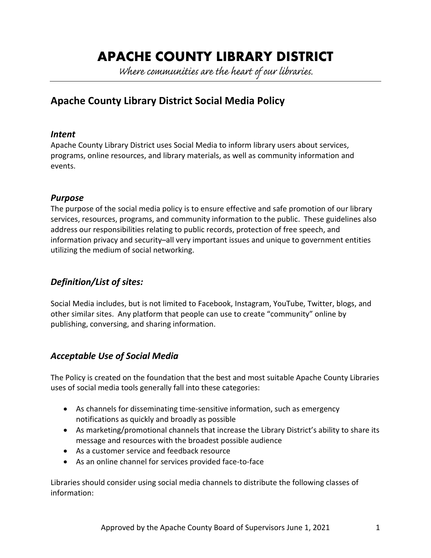# **APACHE COUNTY LIBRARY DISTRICT**

Where communities are the heart of our libraries.

# **Apache County Library District Social Media Policy**

#### *Intent*

Apache County Library District uses Social Media to inform library users about services, programs, online resources, and library materials, as well as community information and events.

### *Purpose*

The purpose of the social media policy is to ensure effective and safe promotion of our library services, resources, programs, and community information to the public. These guidelines also address our responsibilities relating to public records, protection of free speech, and information privacy and security–all very important issues and unique to government entities utilizing the medium of social networking.

## *Definition/List of sites:*

Social Media includes, but is not limited to Facebook, Instagram, YouTube, Twitter, blogs, and other similar sites. Any platform that people can use to create "community" online by publishing, conversing, and sharing information.

## *Acceptable Use of Social Media*

The Policy is created on the foundation that the best and most suitable Apache County Libraries uses of social media tools generally fall into these categories:

- As channels for disseminating time-sensitive information, such as emergency notifications as quickly and broadly as possible
- As marketing/promotional channels that increase the Library District's ability to share its message and resources with the broadest possible audience
- As a customer service and feedback resource
- As an online channel for services provided face-to-face

Libraries should consider using social media channels to distribute the following classes of information: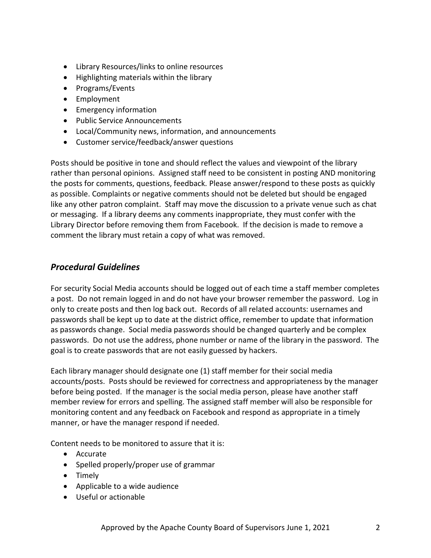- Library Resources/links to online resources
- Highlighting materials within the library
- Programs/Events
- Employment
- Emergency information
- Public Service Announcements
- Local/Community news, information, and announcements
- Customer service/feedback/answer questions

Posts should be positive in tone and should reflect the values and viewpoint of the library rather than personal opinions. Assigned staff need to be consistent in posting AND monitoring the posts for comments, questions, feedback. Please answer/respond to these posts as quickly as possible. Complaints or negative comments should not be deleted but should be engaged like any other patron complaint. Staff may move the discussion to a private venue such as chat or messaging. If a library deems any comments inappropriate, they must confer with the Library Director before removing them from Facebook. If the decision is made to remove a comment the library must retain a copy of what was removed.

#### *Procedural Guidelines*

For security Social Media accounts should be logged out of each time a staff member completes a post. Do not remain logged in and do not have your browser remember the password. Log in only to create posts and then log back out. Records of all related accounts: usernames and passwords shall be kept up to date at the district office, remember to update that information as passwords change. Social media passwords should be changed quarterly and be complex passwords. Do not use the address, phone number or name of the library in the password. The goal is to create passwords that are not easily guessed by hackers.

Each library manager should designate one (1) staff member for their social media accounts/posts. Posts should be reviewed for correctness and appropriateness by the manager before being posted. If the manager is the social media person, please have another staff member review for errors and spelling. The assigned staff member will also be responsible for monitoring content and any feedback on Facebook and respond as appropriate in a timely manner, or have the manager respond if needed.

Content needs to be monitored to assure that it is:

- Accurate
- Spelled properly/proper use of grammar
- Timely
- Applicable to a wide audience
- Useful or actionable